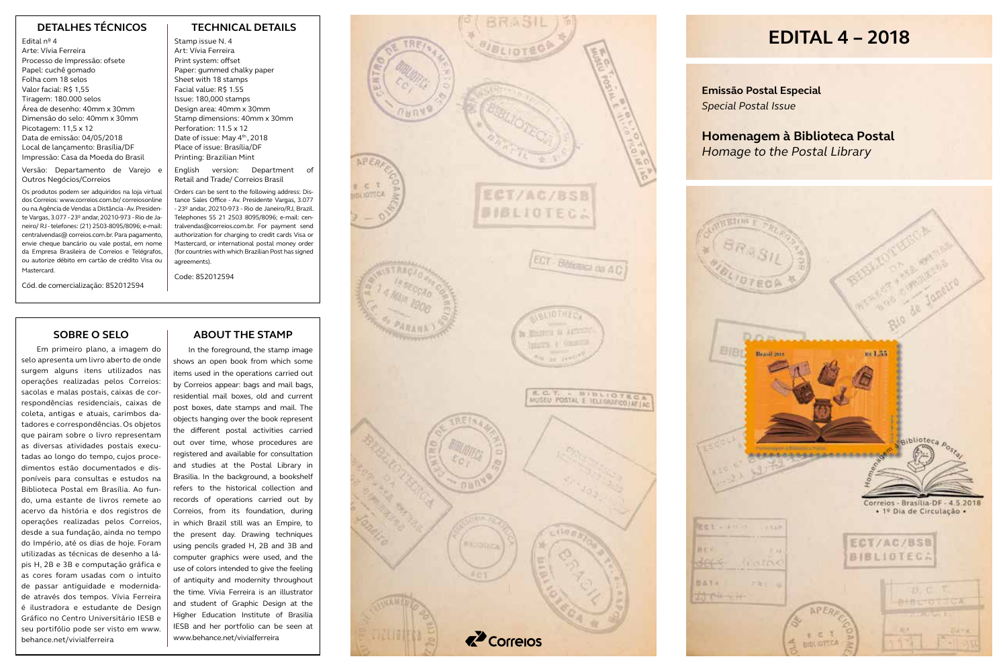### **DETALHES TÉCNICOS**

#### Edital nº 4 Arte: Vívia Ferreira Processo de Impressão: ofsete Papel: cuchê gomado Folha com 18 selos Valor facial: R\$ 1,55 Tiragem: 180.000 selos Área de desenho: 40mm x 30mm Dimensão do selo: 40mm x 30mm Picotagem: 11,5 x 12 Data de emissão: 04/05/2018 Local de lançamento: Brasília/DF Impressão: Casa da Moeda do Brasil

Versão: Departamento de Varejo e Outros Negócios/Correios

Os produtos podem ser adquiridos na loja virtual dos Correios: www.correios.com.br/ correiosonline ou na Agência de Vendas a Distância - Av. Presiden te Vargas, 3.077 - 23º andar, 20210-973 - Rio de Ja neiro/ RJ - telefones: (21) 2503-8095/8096; e-mail: centralvendas@ correios.com.br. Para pagamento, envie cheque bancário ou vale postal, em nome da Empresa Brasileira de Correios e Telégrafos, ou autorize débito em cartão de crédito Visa ou **Mactorcard** 

Cód. de comercialização: 852012594

#### **SOBRE O SELO**

Em primeiro plano, a imagem do selo apresenta um livro aberto de onde surgem alguns itens utilizados nas operações realizadas pelos Correios: sacolas e malas postais, caixas de cor respondências residenciais, caixas de coleta, antigas e atuais, carimbos da tadores e correspondências. Os objetos que pairam sobre o livro representam as diversas atividades postais execu tadas ao longo do tempo, cujos proce dimentos estão documentados e dis poníveis para consultas e estudos na Biblioteca Postal em Brasília. Ao fun do, uma estante de livros remete ao acervo da história e dos registros de operações realizadas pelos Correios, desde a sua fundação, ainda no tempo do Império, até os dias de hoje. Foram utilizadas as técnicas de desenho a lá pis H, 2B e 3B e computação gráfica e as cores foram usadas com o intuito de passar antiguidade e modernida de através dos tempos. Vívia Ferreira é ilustradora e estudante de Design Gráfico no Centro Universitário IESB e seu portifólio pode ser visto em www. behance.net/vivialferreira

#### **TECHNICAL DETAILS**

Stamp issue N. 4 Art: Vívia Ferreira Print system: offset Paper: gummed chalky paper Sheet with 18 stamps Facial value: R\$ 1.55 Issue: 180,000 stamps Design area: 40mm x 30mm Stamp dimensions: 40mm x 30mm Perforation: 11.5 x 12 Date of issue: May 4<sup>th</sup>, 2018 Place of issue: Brasília/DF Printing: Brazilian Mint

English version: Department of Retail and Trade/ Correios Brasil

Orders can be sent to the following address: Dis tance Sales Office - Av. Presidente Vargas, 3.077 - 23º andar, 20210-973 - Rio de Janeiro/RJ, Brazil. Telephones 55 21 2503 8095/8096; e-mail: cen tralvendas@correios.com.br. For payment send authorization for charging to credit cards Visa or Mastercard, or international postal money order (for countries with which Brazilian Post has signed agreements).

Code: 852012594

## **ABOUT THE STAMP**

In the foreground, the stamp image shows an open book from which some items used in the operations carried out by Correios appear: bags and mail bags, residential mail boxes, old and current post boxes, date stamps and mail. The objects hanging over the book represent the different postal activities carried out over time, whose procedures are registered and available for consultation and studies at the Postal Library in Brasilia. In the background, a bookshelf refers to the historical collection and records of operations carried out by Correios, from its foundation, during in which Brazil still was an Empire, to the present day. Drawing techniques using pencils graded H, 2B and 3B and computer graphics were used, and the use of colors intended to give the feeling of antiquity and modernity throughout the time. Vívia Ferreira is an illustrator and student of Graphic Design at the Higher Education Institute of Brasilia IESB and her portfolio can be seen at www.behance.net/vivialferreira



# **EDITAL 4 – 2018**

**Emissão Postal Especial** *Special Postal Issue*

**Homenagem à Biblioteca Postal** *Homage to the Postal Library*